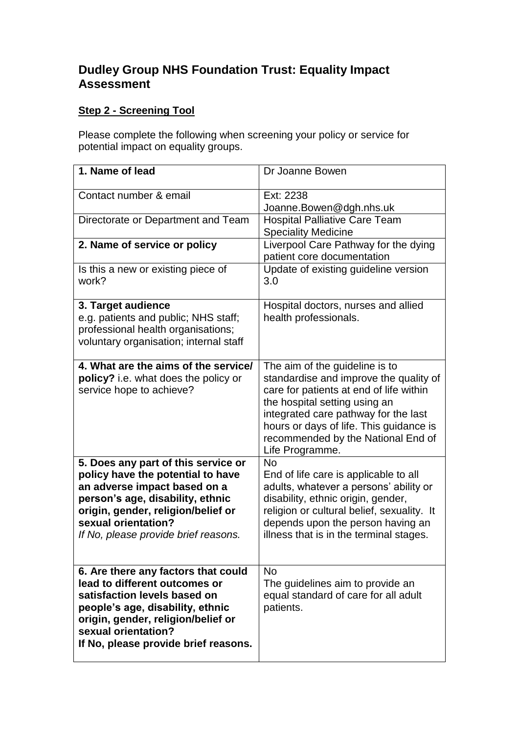## **Dudley Group NHS Foundation Trust: Equality Impact Assessment**

## **Step 2 - Screening Tool**

Please complete the following when screening your policy or service for potential impact on equality groups.

| 1. Name of lead                                                                                                                                                                                                                                   | Dr Joanne Bowen                                                                                                                                                                                                                                                                                  |
|---------------------------------------------------------------------------------------------------------------------------------------------------------------------------------------------------------------------------------------------------|--------------------------------------------------------------------------------------------------------------------------------------------------------------------------------------------------------------------------------------------------------------------------------------------------|
| Contact number & email                                                                                                                                                                                                                            | Ext: 2238<br>Joanne.Bowen@dgh.nhs.uk                                                                                                                                                                                                                                                             |
| Directorate or Department and Team                                                                                                                                                                                                                | <b>Hospital Palliative Care Team</b><br><b>Speciality Medicine</b>                                                                                                                                                                                                                               |
| 2. Name of service or policy                                                                                                                                                                                                                      | Liverpool Care Pathway for the dying<br>patient core documentation                                                                                                                                                                                                                               |
| Is this a new or existing piece of<br>work?                                                                                                                                                                                                       | Update of existing guideline version<br>3.0                                                                                                                                                                                                                                                      |
| 3. Target audience<br>e.g. patients and public; NHS staff;<br>professional health organisations;<br>voluntary organisation; internal staff                                                                                                        | Hospital doctors, nurses and allied<br>health professionals.                                                                                                                                                                                                                                     |
| 4. What are the aims of the service/<br>policy? i.e. what does the policy or<br>service hope to achieve?                                                                                                                                          | The aim of the guideline is to<br>standardise and improve the quality of<br>care for patients at end of life within<br>the hospital setting using an<br>integrated care pathway for the last<br>hours or days of life. This guidance is<br>recommended by the National End of<br>Life Programme. |
| 5. Does any part of this service or<br>policy have the potential to have<br>an adverse impact based on a<br>person's age, disability, ethnic<br>origin, gender, religion/belief or<br>sexual orientation?<br>If No, please provide brief reasons. | <b>No</b><br>End of life care is applicable to all<br>adults, whatever a persons' ability or<br>disability, ethnic origin, gender,<br>religion or cultural belief, sexuality. It<br>depends upon the person having an<br>illness that is in the terminal stages.                                 |
| 6. Are there any factors that could<br>lead to different outcomes or<br>satisfaction levels based on<br>people's age, disability, ethnic<br>origin, gender, religion/belief or<br>sexual orientation?<br>If No, please provide brief reasons.     | <b>No</b><br>The guidelines aim to provide an<br>equal standard of care for all adult<br>patients.                                                                                                                                                                                               |